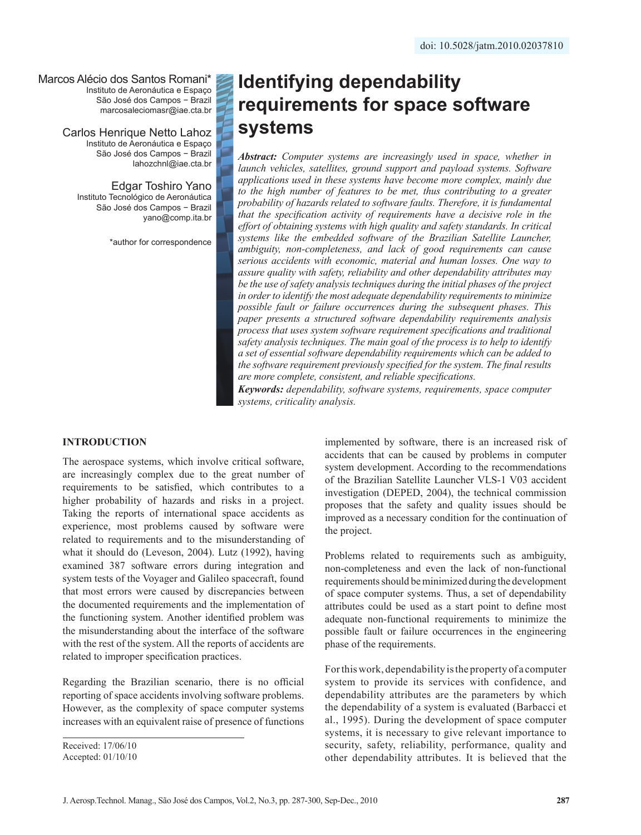Marcos Alécio dos Santos Romani\* Instituto de Aeronáutica e Espaço São José dos Campos − Brazil marcosaleciomasr@iae.cta.br

> Carlos Henrique Netto Lahoz Instituto de Aeronáutica e Espaço São José dos Campos − Brazil lahozchnl@iae.cta.br

Edgar Toshiro Yano Instituto Tecnológico de Aeronáutica São José dos Campos − Brazil yano@comp.ita.br

\*author for correspondence

# **Identifying dependability requirements for space software systems**

*Abstract: Computer systems are increasingly used in space, whether in launch vehicles, satellites, ground support and payload systems. Software applications used in these systems have become more complex, mainly due to the high number of features to be met, thus contributing to a greater probability of hazards related to software faults. Therefore, it is fundamental that the specification activity of requirements have a decisive role in the effort of obtaining systems with high quality and safety standards. In critical systems like the embedded software of the Brazilian Satellite Launcher, ambiguity, non-completeness, and lack of good requirements can cause serious accidents with economic, material and human losses. One way to assure quality with safety, reliability and other dependability attributes may be the use of safety analysis techniques during the initial phases of the project in order to identify the most adequate dependability requirements to minimize possible fault or failure occurrences during the subsequent phases. This paper presents a structured software dependability requirements analysis process that uses system software requirement specifications and traditional safety analysis techniques. The main goal of the process is to help to identify a set of essential software dependability requirements which can be added to the software requirement previously specified for the system. The final results are more complete, consistent, and reliable specifications.*

*Keywords: dependability, software systems, requirements, space computer systems, criticality analysis.*

# **INTRODUCTION**

The aerospace systems, which involve critical software, are increasingly complex due to the great number of requirements to be satisfied, which contributes to a higher probability of hazards and risks in a project. Taking the reports of international space accidents as experience, most problems caused by software were related to requirements and to the misunderstanding of what it should do (Leveson, 2004). Lutz (1992), having examined 387 software errors during integration and system tests of the Voyager and Galileo spacecraft, found that most errors were caused by discrepancies between the documented requirements and the implementation of the functioning system. Another identified problem was the misunderstanding about the interface of the software with the rest of the system. All the reports of accidents are related to improper specification practices.

Regarding the Brazilian scenario, there is no official reporting of space accidents involving software problems. However, as the complexity of space computer systems increases with an equivalent raise of presence of functions

Received: 17/06/10 Accepted: 01/10/10 implemented by software, there is an increased risk of accidents that can be caused by problems in computer system development. According to the recommendations of the Brazilian Satellite Launcher VLS-1 V03 accident investigation (DEPED, 2004), the technical commission proposes that the safety and quality issues should be improved as a necessary condition for the continuation of the project.

Problems related to requirements such as ambiguity, non-completeness and even the lack of non-functional requirements should be minimized during the development of space computer systems. Thus, a set of dependability attributes could be used as a start point to define most adequate non-functional requirements to minimize the possible fault or failure occurrences in the engineering phase of the requirements.

For this work, dependability is the property of a computer system to provide its services with confidence, and dependability attributes are the parameters by which the dependability of a system is evaluated (Barbacci et al., 1995). During the development of space computer systems, it is necessary to give relevant importance to security, safety, reliability, performance, quality and other dependability attributes. It is believed that the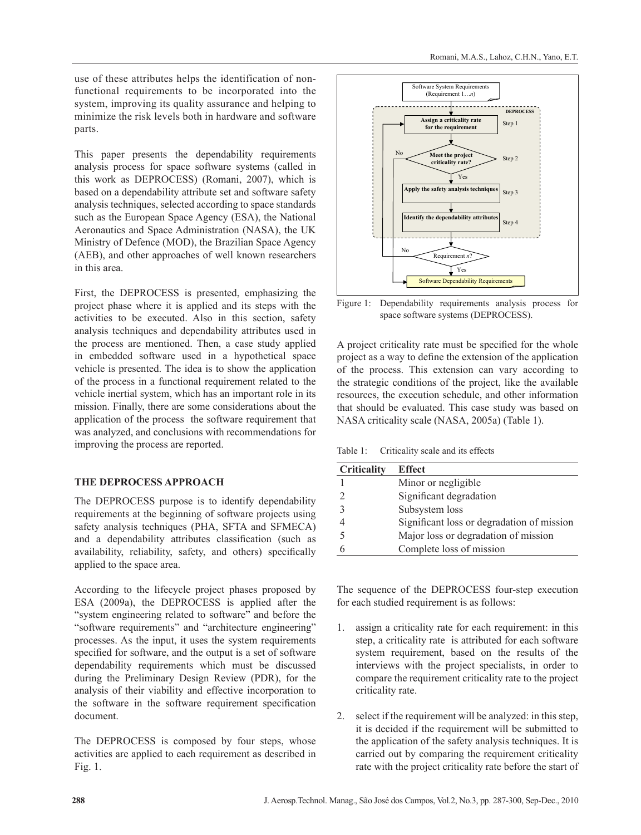use of these attributes helps the identification of nonfunctional requirements to be incorporated into the system, improving its quality assurance and helping to minimize the risk levels both in hardware and software parts.

This paper presents the dependability requirements analysis process for space software systems (called in this work as DEPROCESS) (Romani, 2007), which is based on a dependability attribute set and software safety analysis techniques, selected according to space standards such as the European Space Agency (ESA), the National Aeronautics and Space Administration (NASA), the UK Ministry of Defence (MOD), the Brazilian Space Agency (AEB), and other approaches of well known researchers in this area.

First, the DEPROCESS is presented, emphasizing the project phase where it is applied and its steps with the activities to be executed. Also in this section, safety analysis techniques and dependability attributes used in the process are mentioned. Then, a case study applied in embedded software used in a hypothetical space vehicle is presented. The idea is to show the application of the process in a functional requirement related to the vehicle inertial system, which has an important role in its mission. Finally, there are some considerations about the application of the process the software requirement that was analyzed, and conclusions with recommendations for improving the process are reported.

# **THE DEPROCESS APPROACH**

The DEPROCESS purpose is to identify dependability requirements at the beginning of software projects using safety analysis techniques (PHA, SFTA and SFMECA) and a dependability attributes classification (such as availability, reliability, safety, and others) specifically applied to the space area.

According to the lifecycle project phases proposed by ESA (2009a), the DEPROCESS is applied after the "system engineering related to software" and before the "software requirements" and "architecture engineering" processes. As the input, it uses the system requirements specified for software, and the output is a set of software dependability requirements which must be discussed during the Preliminary Design Review (PDR), for the analysis of their viability and effective incorporation to the software in the software requirement specification document.

The DEPROCESS is composed by four steps, whose activities are applied to each requirement as described in Fig. 1.



Figure 1: Dependability requirements analysis process for space software systems (DEPROCESS).

A project criticality rate must be specified for the whole project as a way to define the extension of the application of the process. This extension can vary according to the strategic conditions of the project, like the available resources, the execution schedule, and other information that should be evaluated. This case study was based on NASA criticality scale (NASA, 2005a) (Table 1).

Table 1: Criticality scale and its effects

| Criticality | <b>Effect</b>                              |
|-------------|--------------------------------------------|
|             | Minor or negligible                        |
| っ           | Significant degradation                    |
| 3           | Subsystem loss                             |
|             | Significant loss or degradation of mission |
| 5           | Major loss or degradation of mission       |
|             | Complete loss of mission                   |

The sequence of the DEPROCESS four-step execution for each studied requirement is as follows:

- 1. assign a criticality rate for each requirement: in this step, a criticality rate is attributed for each software system requirement, based on the results of the interviews with the project specialists, in order to compare the requirement criticality rate to the project criticality rate.
- 2. select if the requirement will be analyzed: in this step, it is decided if the requirement will be submitted to the application of the safety analysis techniques. It is carried out by comparing the requirement criticality rate with the project criticality rate before the start of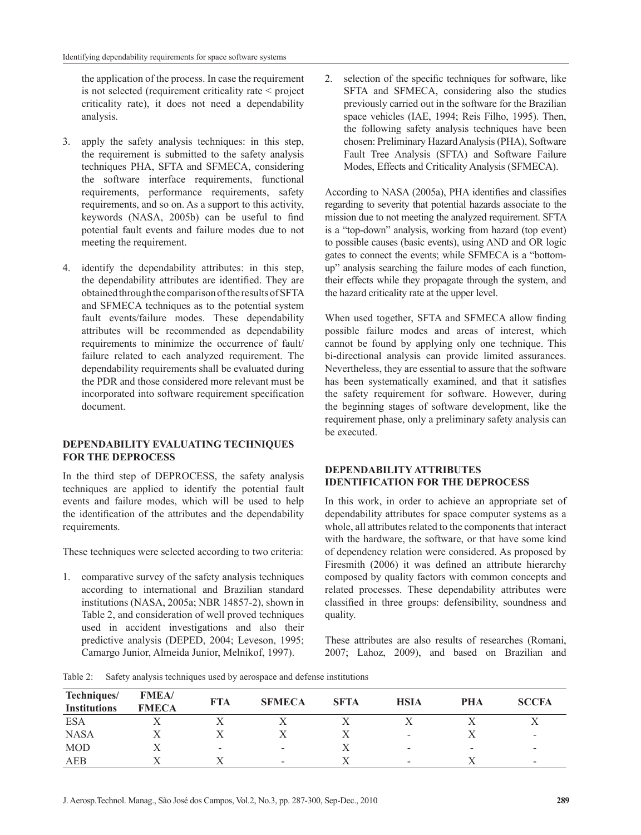the application of the process. In case the requirement is not selected (requirement criticality rate < project criticality rate), it does not need a dependability analysis.

- 3. apply the safety analysis techniques: in this step, the requirement is submitted to the safety analysis techniques PHA, SFTA and SFMECA, considering the software interface requirements, functional requirements, performance requirements, safety requirements, and so on. As a support to this activity, keywords (NASA, 2005b) can be useful to find potential fault events and failure modes due to not meeting the requirement.
- 4. identify the dependability attributes: in this step, the dependability attributes are identified. They are obtained through the comparison of the results of SFTA and SFMECA techniques as to the potential system fault events/failure modes. These dependability attributes will be recommended as dependability requirements to minimize the occurrence of fault/ failure related to each analyzed requirement. The dependability requirements shall be evaluated during the PDR and those considered more relevant must be incorporated into software requirement specification document.

# **DEPENDABILITY EVALUATING TECHNIQUES FOR THE DEPROCESS**

In the third step of DEPROCESS, the safety analysis techniques are applied to identify the potential fault events and failure modes, which will be used to help the identification of the attributes and the dependability requirements.

These techniques were selected according to two criteria:

1. comparative survey of the safety analysis techniques according to international and Brazilian standard institutions (NASA, 2005a; NBR 14857-2), shown in Table 2, and consideration of well proved techniques used in accident investigations and also their predictive analysis (DEPED, 2004; Leveson, 1995; Camargo Junior, Almeida Junior, Melnikof, 1997).

2. selection of the specific techniques for software, like SFTA and SFMECA, considering also the studies previously carried out in the software for the Brazilian space vehicles (IAE, 1994; Reis Filho, 1995). Then, the following safety analysis techniques have been chosen: Preliminary Hazard Analysis (PHA), Software Fault Tree Analysis (SFTA) and Software Failure Modes, Effects and Criticality Analysis (SFMECA).

According to NASA (2005a), PHA identifies and classifies regarding to severity that potential hazards associate to the mission due to not meeting the analyzed requirement. SFTA is a "top-down" analysis, working from hazard (top event) to possible causes (basic events), using AND and OR logic gates to connect the events; while SFMECA is a "bottomup" analysis searching the failure modes of each function, their effects while they propagate through the system, and the hazard criticality rate at the upper level.

When used together, SFTA and SFMECA allow finding possible failure modes and areas of interest, which cannot be found by applying only one technique. This bi-directional analysis can provide limited assurances. Nevertheless, they are essential to assure that the software has been systematically examined, and that it satisfies the safety requirement for software. However, during the beginning stages of software development, like the requirement phase, only a preliminary safety analysis can be executed.

# **DEPENDABILITY ATTRIBUTES IDENTIFICATION FOR THE DEPROCESS**

In this work, in order to achieve an appropriate set of dependability attributes for space computer systems as a whole, all attributes related to the components that interact with the hardware, the software, or that have some kind of dependency relation were considered. As proposed by Firesmith (2006) it was defined an attribute hierarchy composed by quality factors with common concepts and related processes. These dependability attributes were classified in three groups: defensibility, soundness and quality.

These attributes are also results of researches (Romani, 2007; Lahoz, 2009), and based on Brazilian and

Table 2: Safety analysis techniques used by aerospace and defense institutions

| Techniques/<br><b>Institutions</b> | <b>FMEA</b><br><b>FMECA</b> | <b>FTA</b> | <b>SFMECA</b>            | <b>SFTA</b> | <b>HSIA</b> | <b>PHA</b>               | <b>SCCFA</b> |
|------------------------------------|-----------------------------|------------|--------------------------|-------------|-------------|--------------------------|--------------|
| <b>ESA</b>                         |                             |            |                          |             |             |                          |              |
| <b>NASA</b>                        |                             |            |                          |             |             |                          |              |
| <b>MOD</b>                         |                             | -          | $\overline{\phantom{a}}$ |             | -           | $\overline{\phantom{a}}$ |              |
| AEB                                |                             |            | $\overline{\phantom{a}}$ |             | $\sim$      |                          |              |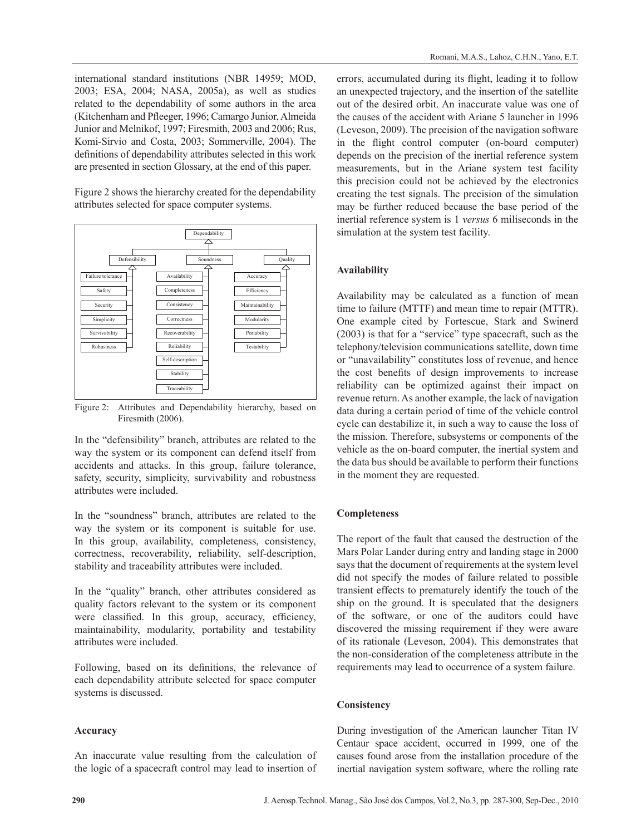international standard institutions (NBR 14959; MOD, 2003; ESA, 2004; NASA, 2005a), as well as studies related to the dependability of some authors in the area (Kitchenham and Pfleeger, 1996; Camargo Junior, Almeida Junior and Melnikof, 1997; Firesmith, 2003 and 2006; Rus, Komi-Sirvio and Costa, 2003; Sommerville, 2004). The definitions of dependability attributes selected in this work are presented in section Glossary, at the end of this paper.

Figure 2 shows the hierarchy created for the dependability attributes selected for space computer systems.



Figure 2: Attributes and Dependability hierarchy, based on Firesmith (2006).

In the "defensibility" branch, attributes are related to the way the system or its component can defend itself from accidents and attacks. In this group, failure tolerance, safety, security, simplicity, survivability and robustness attributes were included.

In the "soundness" branch, attributes are related to the way the system or its component is suitable for use. In this group, availability, completeness, consistency, correctness, recoverability, reliability, self-description, stability and traceability attributes were included.

In the "quality" branch, other attributes considered as quality factors relevant to the system or its component were classified. In this group, accuracy, efficiency, maintainability, modularity, portability and testability attributes were included.

Following, based on its definitions, the relevance of each dependability attribute selected for space computer systems is discussed.

## **Accuracy**

An inaccurate value resulting from the calculation of the logic of a spacecraft control may lead to insertion of

errors, accumulated during its flight, leading it to follow an unexpected trajectory, and the insertion of the satellite out of the desired orbit. An inaccurate value was one of the causes of the accident with Ariane 5 launcher in 1996 (Leveson, 2009). The precision of the navigation software in the flight control computer (on-board computer) depends on the precision of the inertial reference system measurements, but in the Ariane system test facility this precision could not be achieved by the electronics creating the test signals. The precision of the simulation may be further reduced because the base period of the inertial reference system is 1 *versus* 6 miliseconds in the simulation at the system test facility.

# **Availability**

Availability may be calculated as a function of mean time to failure (MTTF) and mean time to repair (MTTR). One example cited by Fortescue, Stark and Swinerd (2003) is that for a "service" type spacecraft, such as the telephony/television communications satellite, down time or "unavailability" constitutes loss of revenue, and hence the cost benefits of design improvements to increase reliability can be optimized against their impact on revenue return. As another example, the lack of navigation data during a certain period of time of the vehicle control cycle can destabilize it, in such a way to cause the loss of the mission. Therefore, subsystems or components of the vehicle as the on-board computer, the inertial system and the data bus should be available to perform their functions in the moment they are requested.

# **Completeness**

The report of the fault that caused the destruction of the Mars Polar Lander during entry and landing stage in 2000 says that the document of requirements at the system level did not specify the modes of failure related to possible transient effects to prematurely identify the touch of the ship on the ground. It is speculated that the designers of the software, or one of the auditors could have discovered the missing requirement if they were aware of its rationale (Leveson, 2004). This demonstrates that the non-consideration of the completeness attribute in the requirements may lead to occurrence of a system failure.

## **Consistency**

During investigation of the American launcher Titan IV Centaur space accident, occurred in 1999, one of the causes found arose from the installation procedure of the inertial navigation system software, where the rolling rate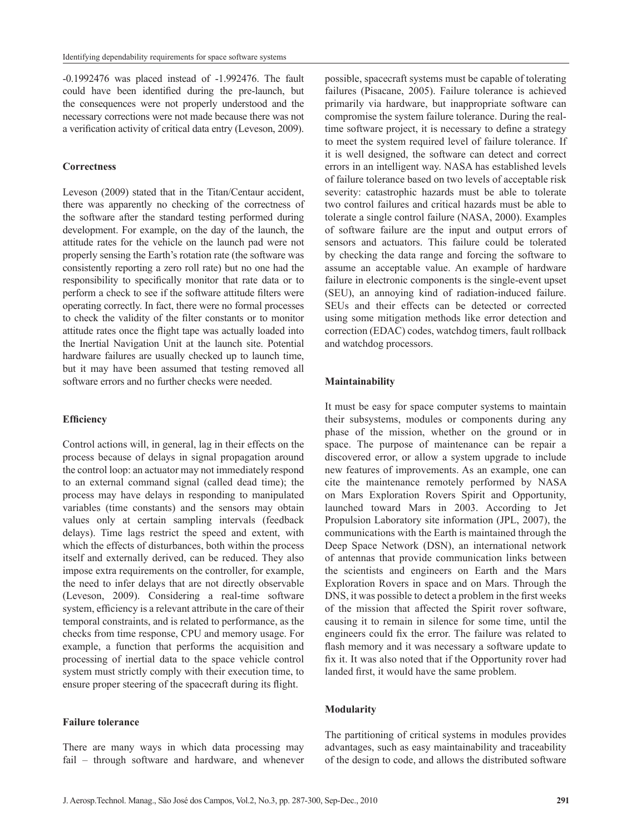-0.1992476 was placed instead of -1.992476. The fault could have been identified during the pre-launch, but the consequences were not properly understood and the necessary corrections were not made because there was not a verification activity of critical data entry (Leveson, 2009).

## **Correctness**

Leveson (2009) stated that in the Titan/Centaur accident, there was apparently no checking of the correctness of the software after the standard testing performed during development. For example, on the day of the launch, the attitude rates for the vehicle on the launch pad were not properly sensing the Earth's rotation rate (the software was consistently reporting a zero roll rate) but no one had the responsibility to specifically monitor that rate data or to perform a check to see if the software attitude filters were operating correctly. In fact, there were no formal processes to check the validity of the filter constants or to monitor attitude rates once the flight tape was actually loaded into the Inertial Navigation Unit at the launch site. Potential hardware failures are usually checked up to launch time, but it may have been assumed that testing removed all software errors and no further checks were needed.

## **Efficiency**

Control actions will, in general, lag in their effects on the process because of delays in signal propagation around the control loop: an actuator may not immediately respond to an external command signal (called dead time); the process may have delays in responding to manipulated variables (time constants) and the sensors may obtain values only at certain sampling intervals (feedback delays). Time lags restrict the speed and extent, with which the effects of disturbances, both within the process itself and externally derived, can be reduced. They also impose extra requirements on the controller, for example, the need to infer delays that are not directly observable (Leveson, 2009). Considering a real-time software system, efficiency is a relevant attribute in the care of their temporal constraints, and is related to performance, as the checks from time response, CPU and memory usage. For example, a function that performs the acquisition and processing of inertial data to the space vehicle control system must strictly comply with their execution time, to ensure proper steering of the spacecraft during its flight.

# **Failure tolerance**

There are many ways in which data processing may fail – through software and hardware, and whenever possible, spacecraft systems must be capable of tolerating failures (Pisacane, 2005). Failure tolerance is achieved primarily via hardware, but inappropriate software can compromise the system failure tolerance. During the realtime software project, it is necessary to define a strategy to meet the system required level of failure tolerance. If it is well designed, the software can detect and correct errors in an intelligent way. NASA has established levels of failure tolerance based on two levels of acceptable risk severity: catastrophic hazards must be able to tolerate two control failures and critical hazards must be able to tolerate a single control failure (NASA, 2000). Examples of software failure are the input and output errors of sensors and actuators. This failure could be tolerated by checking the data range and forcing the software to assume an acceptable value. An example of hardware failure in electronic components is the single-event upset (SEU), an annoying kind of radiation-induced failure. SEUs and their effects can be detected or corrected using some mitigation methods like error detection and correction (EDAC) codes, watchdog timers, fault rollback and watchdog processors.

## **Maintainability**

It must be easy for space computer systems to maintain their subsystems, modules or components during any phase of the mission, whether on the ground or in space. The purpose of maintenance can be repair a discovered error, or allow a system upgrade to include new features of improvements. As an example, one can cite the maintenance remotely performed by NASA on Mars Exploration Rovers Spirit and Opportunity, launched toward Mars in 2003. According to Jet Propulsion Laboratory site information (JPL, 2007), the communications with the Earth is maintained through the Deep Space Network (DSN), an international network of antennas that provide communication links between the scientists and engineers on Earth and the Mars Exploration Rovers in space and on Mars. Through the DNS, it was possible to detect a problem in the first weeks of the mission that affected the Spirit rover software, causing it to remain in silence for some time, until the engineers could fix the error. The failure was related to flash memory and it was necessary a software update to fix it. It was also noted that if the Opportunity rover had landed first, it would have the same problem.

## **Modularity**

The partitioning of critical systems in modules provides advantages, such as easy maintainability and traceability of the design to code, and allows the distributed software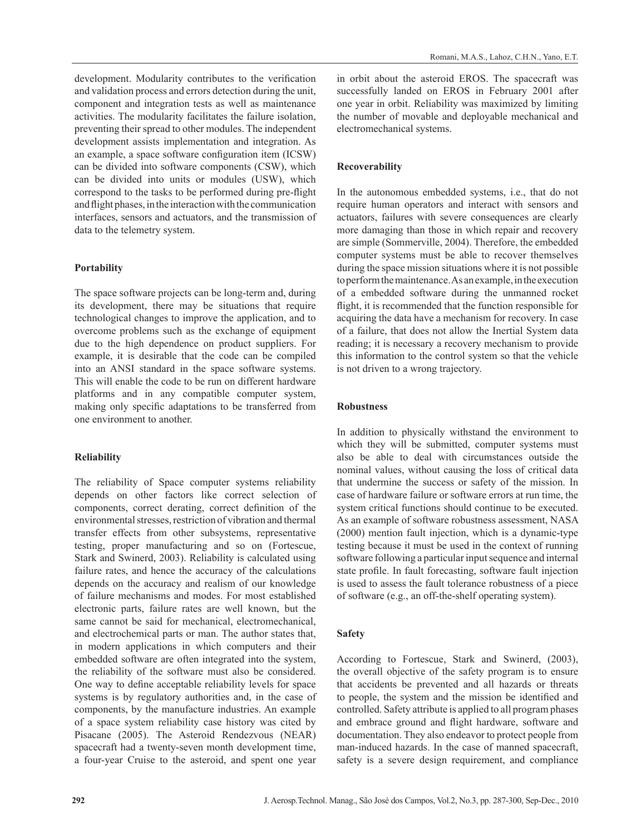development. Modularity contributes to the verification and validation process and errors detection during the unit, component and integration tests as well as maintenance activities. The modularity facilitates the failure isolation, preventing their spread to other modules. The independent development assists implementation and integration. As an example, a space software configuration item (ICSW) can be divided into software components (CSW), which can be divided into units or modules (USW), which correspond to the tasks to be performed during pre-flight and flight phases, in the interaction with the communication interfaces, sensors and actuators, and the transmission of data to the telemetry system.

# **Portability**

The space software projects can be long-term and, during its development, there may be situations that require technological changes to improve the application, and to overcome problems such as the exchange of equipment due to the high dependence on product suppliers. For example, it is desirable that the code can be compiled into an ANSI standard in the space software systems. This will enable the code to be run on different hardware platforms and in any compatible computer system, making only specific adaptations to be transferred from one environment to another.

# **Reliability**

The reliability of Space computer systems reliability depends on other factors like correct selection of components, correct derating, correct definition of the environmental stresses, restriction of vibration and thermal transfer effects from other subsystems, representative testing, proper manufacturing and so on (Fortescue, Stark and Swinerd, 2003). Reliability is calculated using failure rates, and hence the accuracy of the calculations depends on the accuracy and realism of our knowledge of failure mechanisms and modes. For most established electronic parts, failure rates are well known, but the same cannot be said for mechanical, electromechanical, and electrochemical parts or man. The author states that, in modern applications in which computers and their embedded software are often integrated into the system, the reliability of the software must also be considered. One way to define acceptable reliability levels for space systems is by regulatory authorities and, in the case of components, by the manufacture industries. An example of a space system reliability case history was cited by Pisacane (2005). The Asteroid Rendezvous (NEAR) spacecraft had a twenty-seven month development time, a four-year Cruise to the asteroid, and spent one year

in orbit about the asteroid EROS. The spacecraft was successfully landed on EROS in February 2001 after one year in orbit. Reliability was maximized by limiting the number of movable and deployable mechanical and electromechanical systems.

# **Recoverability**

In the autonomous embedded systems, i.e., that do not require human operators and interact with sensors and actuators, failures with severe consequences are clearly more damaging than those in which repair and recovery are simple (Sommerville, 2004). Therefore, the embedded computer systems must be able to recover themselves during the space mission situations where it is not possible to perform the maintenance. As an example, in the execution of a embedded software during the unmanned rocket flight, it is recommended that the function responsible for acquiring the data have a mechanism for recovery. In case of a failure, that does not allow the Inertial System data reading; it is necessary a recovery mechanism to provide this information to the control system so that the vehicle is not driven to a wrong trajectory.

# **Robustness**

In addition to physically withstand the environment to which they will be submitted, computer systems must also be able to deal with circumstances outside the nominal values, without causing the loss of critical data that undermine the success or safety of the mission. In case of hardware failure or software errors at run time, the system critical functions should continue to be executed. As an example of software robustness assessment, NASA (2000) mention fault injection, which is a dynamic-type testing because it must be used in the context of running software following a particular input sequence and internal state profile. In fault forecasting, software fault injection is used to assess the fault tolerance robustness of a piece of software (e.g., an off-the-shelf operating system).

# **Safety**

According to Fortescue, Stark and Swinerd, (2003), the overall objective of the safety program is to ensure that accidents be prevented and all hazards or threats to people, the system and the mission be identified and controlled. Safety attribute is applied to all program phases and embrace ground and flight hardware, software and documentation. They also endeavor to protect people from man-induced hazards. In the case of manned spacecraft, safety is a severe design requirement, and compliance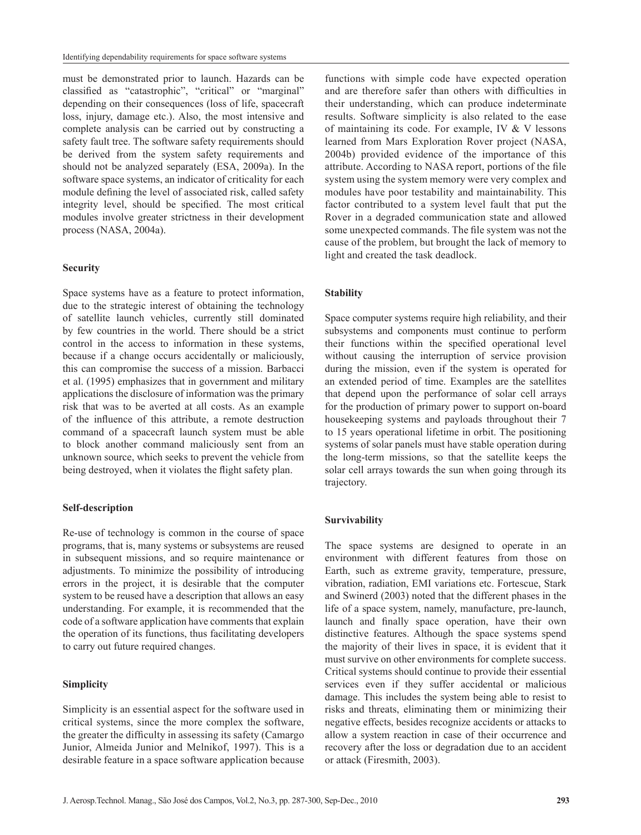must be demonstrated prior to launch. Hazards can be classified as "catastrophic", "critical" or "marginal" depending on their consequences (loss of life, spacecraft loss, injury, damage etc.). Also, the most intensive and complete analysis can be carried out by constructing a safety fault tree. The software safety requirements should be derived from the system safety requirements and should not be analyzed separately (ESA, 2009a). In the software space systems, an indicator of criticality for each module defining the level of associated risk, called safety integrity level, should be specified. The most critical modules involve greater strictness in their development process (NASA, 2004a).

## **Security**

Space systems have as a feature to protect information, due to the strategic interest of obtaining the technology of satellite launch vehicles, currently still dominated by few countries in the world. There should be a strict control in the access to information in these systems, because if a change occurs accidentally or maliciously, this can compromise the success of a mission. Barbacci et al. (1995) emphasizes that in government and military applications the disclosure of information was the primary risk that was to be averted at all costs. As an example of the influence of this attribute, a remote destruction command of a spacecraft launch system must be able to block another command maliciously sent from an unknown source, which seeks to prevent the vehicle from being destroyed, when it violates the flight safety plan.

## **Self-description**

Re-use of technology is common in the course of space programs, that is, many systems or subsystems are reused in subsequent missions, and so require maintenance or adjustments. To minimize the possibility of introducing errors in the project, it is desirable that the computer system to be reused have a description that allows an easy understanding. For example, it is recommended that the code of a software application have comments that explain the operation of its functions, thus facilitating developers to carry out future required changes.

#### **Simplicity**

Simplicity is an essential aspect for the software used in critical systems, since the more complex the software, the greater the difficulty in assessing its safety (Camargo Junior, Almeida Junior and Melnikof, 1997). This is a desirable feature in a space software application because

functions with simple code have expected operation and are therefore safer than others with difficulties in their understanding, which can produce indeterminate results. Software simplicity is also related to the ease of maintaining its code. For example, IV & V lessons learned from Mars Exploration Rover project (NASA, 2004b) provided evidence of the importance of this attribute. According to NASA report, portions of the file system using the system memory were very complex and modules have poor testability and maintainability. This factor contributed to a system level fault that put the Rover in a degraded communication state and allowed some unexpected commands. The file system was not the cause of the problem, but brought the lack of memory to light and created the task deadlock.

## **Stability**

Space computer systems require high reliability, and their subsystems and components must continue to perform their functions within the specified operational level without causing the interruption of service provision during the mission, even if the system is operated for an extended period of time. Examples are the satellites that depend upon the performance of solar cell arrays for the production of primary power to support on-board housekeeping systems and payloads throughout their 7 to 15 years operational lifetime in orbit. The positioning systems of solar panels must have stable operation during the long-term missions, so that the satellite keeps the solar cell arrays towards the sun when going through its trajectory.

#### **Survivability**

The space systems are designed to operate in an environment with different features from those on Earth, such as extreme gravity, temperature, pressure, vibration, radiation, EMI variations etc. Fortescue, Stark and Swinerd (2003) noted that the different phases in the life of a space system, namely, manufacture, pre-launch, launch and finally space operation, have their own distinctive features. Although the space systems spend the majority of their lives in space, it is evident that it must survive on other environments for complete success. Critical systems should continue to provide their essential services even if they suffer accidental or malicious damage. This includes the system being able to resist to risks and threats, eliminating them or minimizing their negative effects, besides recognize accidents or attacks to allow a system reaction in case of their occurrence and recovery after the loss or degradation due to an accident or attack (Firesmith, 2003).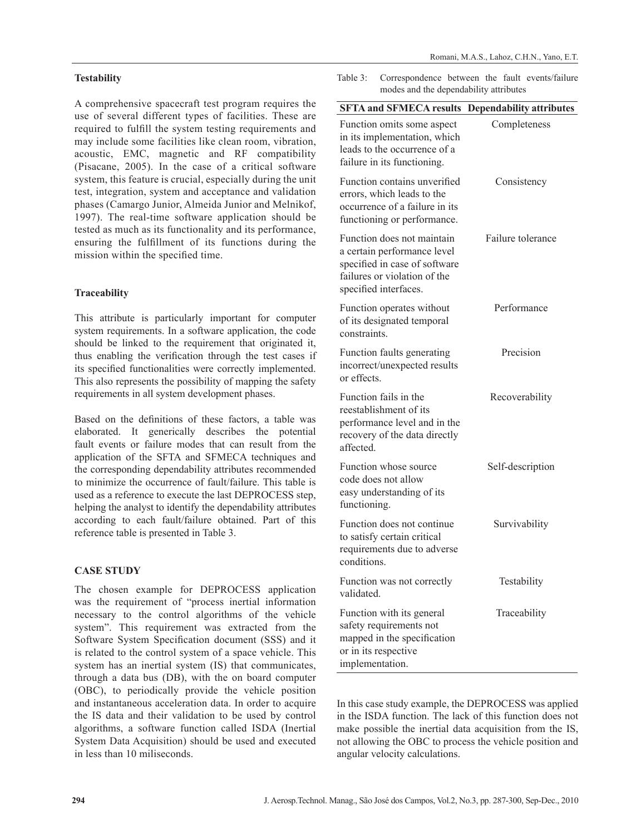A comprehensive spacecraft test program requires the use of several different types of facilities. These are required to fulfill the system testing requirements and may include some facilities like clean room, vibration, acoustic, EMC, magnetic and RF compatibility (Pisacane, 2005). In the case of a critical software system, this feature is crucial, especially during the unit test, integration, system and acceptance and validation phases (Camargo Junior, Almeida Junior and Melnikof, 1997). The real-time software application should be tested as much as its functionality and its performance, ensuring the fulfillment of its functions during the mission within the specified time.

# **Traceability**

This attribute is particularly important for computer system requirements. In a software application, the code should be linked to the requirement that originated it, thus enabling the verification through the test cases if its specified functionalities were correctly implemented. This also represents the possibility of mapping the safety requirements in all system development phases.

Based on the definitions of these factors, a table was elaborated. It generically describes the potential fault events or failure modes that can result from the application of the SFTA and SFMECA techniques and the corresponding dependability attributes recommended to minimize the occurrence of fault/failure. This table is used as a reference to execute the last DEPROCESS step, helping the analyst to identify the dependability attributes according to each fault/failure obtained. Part of this reference table is presented in Table 3.

# **CASE STUDY**

The chosen example for DEPROCESS application was the requirement of "process inertial information necessary to the control algorithms of the vehicle system". This requirement was extracted from the Software System Specification document (SSS) and it is related to the control system of a space vehicle. This system has an inertial system (IS) that communicates, through a data bus (DB), with the on board computer (OBC), to periodically provide the vehicle position and instantaneous acceleration data. In order to acquire the IS data and their validation to be used by control algorithms, a software function called ISDA (Inertial System Data Acquisition) should be used and executed in less than 10 miliseconds.

Table 3: Correspondence between the fault events/failure modes and the dependability attributes

| <b>SFTA and SFMECA results</b>                                                                                                                      | <b>Dependability attributes</b> |
|-----------------------------------------------------------------------------------------------------------------------------------------------------|---------------------------------|
| Function omits some aspect<br>in its implementation, which<br>leads to the occurrence of a<br>failure in its functioning.                           | Completeness                    |
| Function contains unverified<br>errors, which leads to the<br>occurrence of a failure in its<br>functioning or performance.                         | Consistency                     |
| Function does not maintain<br>a certain performance level<br>specified in case of software<br>failures or violation of the<br>specified interfaces. | Failure tolerance               |
| Function operates without<br>of its designated temporal<br>constraints.                                                                             | Performance                     |
| Function faults generating<br>incorrect/unexpected results<br>or effects.                                                                           | Precision                       |
| Function fails in the<br>reestablishment of its<br>performance level and in the<br>recovery of the data directly<br>affected.                       | Recoverability                  |
| Function whose source<br>code does not allow<br>easy understanding of its<br>functioning.                                                           | Self-description                |
| Function does not continue<br>to satisfy certain critical<br>requirements due to adverse<br>conditions.                                             | Survivability                   |
| Function was not correctly<br>validated.                                                                                                            | Testability                     |
| Function with its general<br>safety requirements not<br>mapped in the specification<br>or in its respective<br>implementation.                      | Traceability                    |

In this case study example, the DEPROCESS was applied in the ISDA function. The lack of this function does not make possible the inertial data acquisition from the IS, not allowing the OBC to process the vehicle position and angular velocity calculations.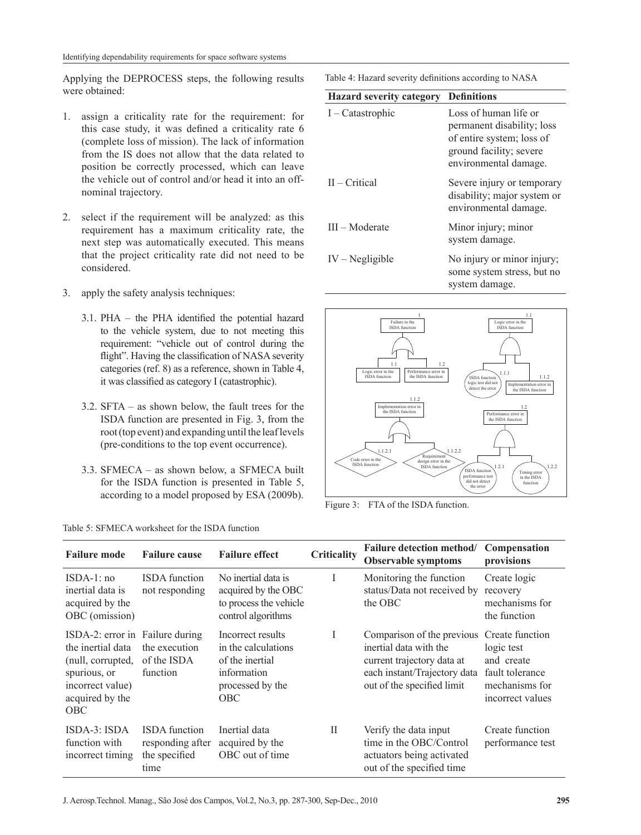Applying the DEPROCESS steps, the following results were obtained:

- 1. assign a criticality rate for the requirement: for this case study, it was defined a criticality rate 6 (complete loss of mission). The lack of information from the IS does not allow that the data related to position be correctly processed, which can leave the vehicle out of control and/or head it into an offnominal trajectory.
- 2. select if the requirement will be analyzed: as this requirement has a maximum criticality rate, the next step was automatically executed. This means that the project criticality rate did not need to be considered.
- 3. apply the safety analysis techniques:
	- 3.1. PHA the PHA identified the potential hazard to the vehicle system, due to not meeting this requirement: "vehicle out of control during the flight". Having the classification of NASA severity categories (ref. 8) as a reference, shown in Table 4, it was classified as category I (catastrophic).
	- 3.2. SFTA as shown below, the fault trees for the ISDA function are presented in Fig. 3, from the root (top event) and expanding until the leaf levels (pre-conditions to the top event occurrence).
	- 3.3. SFMECA as shown below, a SFMECA built for the ISDA function is presented in Table 5, according to a model proposed by ESA (2009b).

Table 4: Hazard severity definitions according to NASA

| <b>Hazard severity category</b> | <b>Definitions</b>                                                                                                                   |
|---------------------------------|--------------------------------------------------------------------------------------------------------------------------------------|
| I – Catastrophic                | Loss of human life or<br>permanent disability; loss<br>of entire system; loss of<br>ground facility; severe<br>environmental damage. |
| $II$ – Critical                 | Severe injury or temporary<br>disability; major system or<br>environmental damage.                                                   |
| III – Moderate                  | Minor injury; minor<br>system damage.                                                                                                |
| $IV - Negligible$               | No injury or minor injury;<br>some system stress, but no<br>system damage.                                                           |



Figure 3: FTA of the ISDA function.

| <b>Failure mode</b>                                                                                                                            | <b>Failure cause</b>                                              | <b>Failure effect</b>                                                                                 | <b>Criticality</b> | <b>Failure detection method/</b><br><b>Observable symptoms</b>                                                                                   | Compensation<br>provisions                                                                           |
|------------------------------------------------------------------------------------------------------------------------------------------------|-------------------------------------------------------------------|-------------------------------------------------------------------------------------------------------|--------------------|--------------------------------------------------------------------------------------------------------------------------------------------------|------------------------------------------------------------------------------------------------------|
| $ISDA-1:no$<br>inertial data is<br>acquired by the<br>OBC (omission)                                                                           | <b>ISDA</b> function<br>not responding                            | No inertial data is<br>acquired by the OBC<br>to process the vehicle<br>control algorithms            | Ι                  | Monitoring the function<br>status/Data not received by<br>the OBC                                                                                | Create logic<br>recovery<br>mechanisms for<br>the function                                           |
| ISDA-2: error in Failure during<br>the inertial data<br>(null, corrupted,<br>spurious, or<br>incorrect value)<br>acquired by the<br><b>OBC</b> | the execution<br>of the ISDA<br>function                          | Incorrect results<br>in the calculations<br>of the inertial<br>information<br>processed by the<br>OBC | I                  | Comparison of the previous<br>inertial data with the<br>current trajectory data at<br>each instant/Trajectory data<br>out of the specified limit | Create function<br>logic test<br>and create<br>fault tolerance<br>mechanisms for<br>incorrect values |
| ISDA-3: ISDA<br>function with<br>incorrect timing                                                                                              | <b>ISDA</b> function<br>responding after<br>the specified<br>time | Inertial data<br>acquired by the<br>OBC out of time                                                   | H                  | Verify the data input<br>time in the OBC/Control<br>actuators being activated<br>out of the specified time                                       | Create function<br>performance test                                                                  |

Table 5: SFMECA worksheet for the ISDA function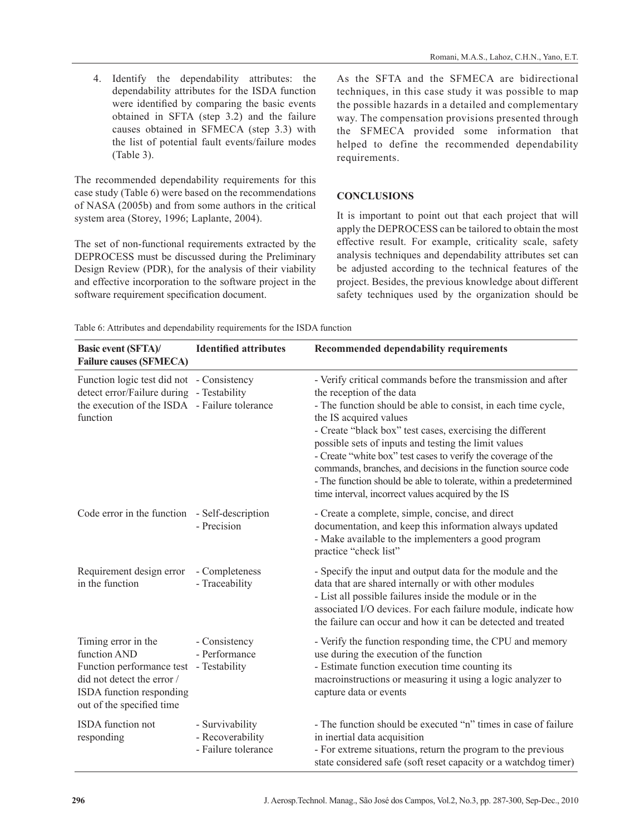4. Identify the dependability attributes: the dependability attributes for the ISDA function were identified by comparing the basic events obtained in SFTA (step 3.2) and the failure causes obtained in SFMECA (step 3.3) with the list of potential fault events/failure modes (Table 3).

The recommended dependability requirements for this case study (Table 6) were based on the recommendations of NASA (2005b) and from some authors in the critical system area (Storey, 1996; Laplante, 2004).

The set of non-functional requirements extracted by the DEPROCESS must be discussed during the Preliminary Design Review (PDR), for the analysis of their viability and effective incorporation to the software project in the software requirement specification document.

As the SFTA and the SFMECA are bidirectional techniques, in this case study it was possible to map the possible hazards in a detailed and complementary way. The compensation provisions presented through the SFMECA provided some information that helped to define the recommended dependability requirements.

# **CONCLUSIONS**

It is important to point out that each project that will apply the DEPROCESS can be tailored to obtain the most effective result. For example, criticality scale, safety analysis techniques and dependability attributes set can be adjusted according to the technical features of the project. Besides, the previous knowledge about different safety techniques used by the organization should be

Table 6: Attributes and dependability requirements for the ISDA function

| Basic event (SFTA)/<br><b>Failure causes (SFMECA)</b>                                                                                                                 | <b>Identified attributes</b>                               | Recommended dependability requirements                                                                                                                                                                                                                                                                                                                                                                                                                                                                                                                                 |
|-----------------------------------------------------------------------------------------------------------------------------------------------------------------------|------------------------------------------------------------|------------------------------------------------------------------------------------------------------------------------------------------------------------------------------------------------------------------------------------------------------------------------------------------------------------------------------------------------------------------------------------------------------------------------------------------------------------------------------------------------------------------------------------------------------------------------|
| Function logic test did not - Consistency<br>detect error/Failure during - Testability<br>the execution of the ISDA - Failure tolerance<br>function                   |                                                            | - Verify critical commands before the transmission and after<br>the reception of the data<br>- The function should be able to consist, in each time cycle,<br>the IS acquired values<br>- Create "black box" test cases, exercising the different<br>possible sets of inputs and testing the limit values<br>- Create "white box" test cases to verify the coverage of the<br>commands, branches, and decisions in the function source code<br>- The function should be able to tolerate, within a predetermined<br>time interval, incorrect values acquired by the IS |
| Code error in the function - Self-description                                                                                                                         | - Precision                                                | - Create a complete, simple, concise, and direct<br>documentation, and keep this information always updated<br>- Make available to the implementers a good program<br>practice "check list"                                                                                                                                                                                                                                                                                                                                                                            |
| Requirement design error<br>in the function                                                                                                                           | - Completeness<br>- Traceability                           | - Specify the input and output data for the module and the<br>data that are shared internally or with other modules<br>- List all possible failures inside the module or in the<br>associated I/O devices. For each failure module, indicate how<br>the failure can occur and how it can be detected and treated                                                                                                                                                                                                                                                       |
| Timing error in the<br>function AND<br>Function performance test - Testability<br>did not detect the error /<br>ISDA function responding<br>out of the specified time | - Consistency<br>- Performance                             | - Verify the function responding time, the CPU and memory<br>use during the execution of the function<br>- Estimate function execution time counting its<br>macroinstructions or measuring it using a logic analyzer to<br>capture data or events                                                                                                                                                                                                                                                                                                                      |
| ISDA function not<br>responding                                                                                                                                       | - Survivability<br>- Recoverability<br>- Failure tolerance | - The function should be executed "n" times in case of failure<br>in inertial data acquisition<br>- For extreme situations, return the program to the previous<br>state considered safe (soft reset capacity or a watchdog timer)                                                                                                                                                                                                                                                                                                                                      |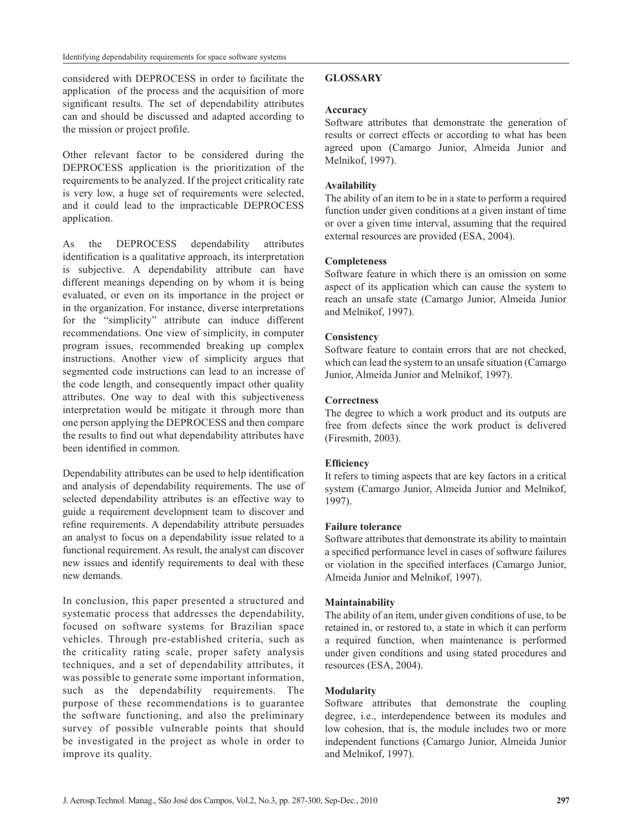considered with DEPROCESS in order to facilitate the application of the process and the acquisition of more significant results. The set of dependability attributes can and should be discussed and adapted according to the mission or project profile.

Other relevant factor to be considered during the DEPROCESS application is the prioritization of the requirements to be analyzed. If the project criticality rate is very low, a huge set of requirements were selected, and it could lead to the impracticable DEPROCESS application.

As the DEPROCESS dependability attributes identification is a qualitative approach, its interpretation is subjective. A dependability attribute can have different meanings depending on by whom it is being evaluated, or even on its importance in the project or in the organization. For instance, diverse interpretations for the "simplicity" attribute can induce different recommendations. One view of simplicity, in computer program issues, recommended breaking up complex instructions. Another view of simplicity argues that segmented code instructions can lead to an increase of the code length, and consequently impact other quality attributes. One way to deal with this subjectiveness interpretation would be mitigate it through more than one person applying the DEPROCESS and then compare the results to find out what dependability attributes have been identified in common.

Dependability attributes can be used to help identification and analysis of dependability requirements. The use of selected dependability attributes is an effective way to guide a requirement development team to discover and refine requirements. A dependability attribute persuades an analyst to focus on a dependability issue related to a functional requirement. As result, the analyst can discover new issues and identify requirements to deal with these new demands.

In conclusion, this paper presented a structured and systematic process that addresses the dependability, focused on software systems for Brazilian space vehicles. Through pre-established criteria, such as the criticality rating scale, proper safety analysis techniques, and a set of dependability attributes, it was possible to generate some important information, such as the dependability requirements. The purpose of these recommendations is to guarantee the software functioning, and also the preliminary survey of possible vulnerable points that should be investigated in the project as whole in order to improve its quality.

# **Glossary**

# **Accuracy**

Software attributes that demonstrate the generation of results or correct effects or according to what has been agreed upon (Camargo Junior, Almeida Junior and Melnikof, 1997).

# **Availability**

The ability of an item to be in a state to perform a required function under given conditions at a given instant of time or over a given time interval, assuming that the required external resources are provided (ESA, 2004).

# **Completeness**

Software feature in which there is an omission on some aspect of its application which can cause the system to reach an unsafe state (Camargo Junior, Almeida Junior and Melnikof, 1997).

# **Consistency**

Software feature to contain errors that are not checked, which can lead the system to an unsafe situation (Camargo Junior, Almeida Junior and Melnikof, 1997).

## **Correctness**

The degree to which a work product and its outputs are free from defects since the work product is delivered (Firesmith, 2003).

## **Efficiency**

It refers to timing aspects that are key factors in a critical system (Camargo Junior, Almeida Junior and Melnikof, 1997).

# **Failure tolerance**

Software attributes that demonstrate its ability to maintain a specified performance level in cases of software failures or violation in the specified interfaces (Camargo Junior, Almeida Junior and Melnikof, 1997).

## **Maintainability**

The ability of an item, under given conditions of use, to be retained in, or restored to, a state in which it can perform a required function, when maintenance is performed under given conditions and using stated procedures and resources (ESA, 2004).

## **Modularity**

Software attributes that demonstrate the coupling degree, i.e., interdependence between its modules and low cohesion, that is, the module includes two or more independent functions (Camargo Junior, Almeida Junior and Melnikof, 1997).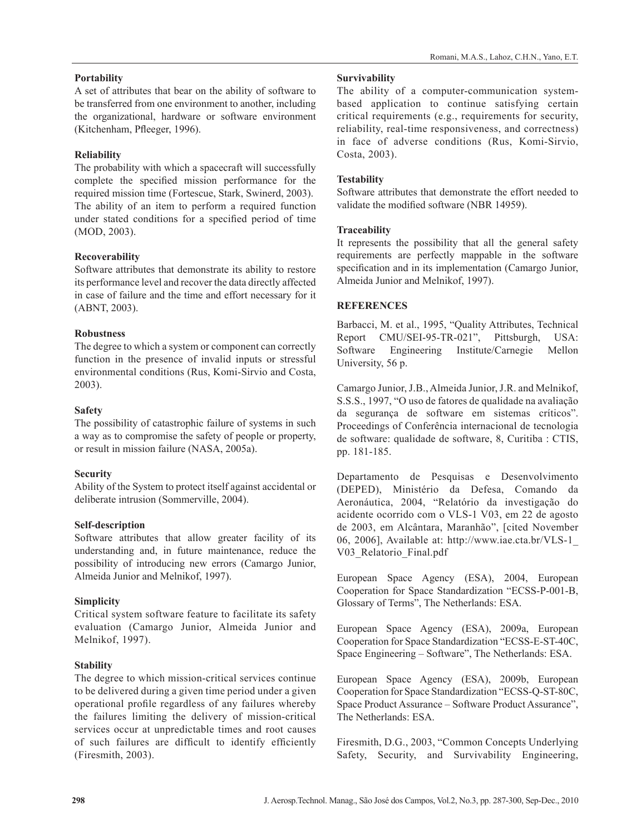# **Portability**

A set of attributes that bear on the ability of software to be transferred from one environment to another, including the organizational, hardware or software environment (Kitchenham, Pfleeger, 1996).

# **Reliability**

The probability with which a spacecraft will successfully complete the specified mission performance for the required mission time (Fortescue, Stark, Swinerd, 2003). The ability of an item to perform a required function under stated conditions for a specified period of time (MOD, 2003).

# **Recoverability**

Software attributes that demonstrate its ability to restore its performance level and recover the data directly affected in case of failure and the time and effort necessary for it (ABNT, 2003).

# **Robustness**

The degree to which a system or component can correctly function in the presence of invalid inputs or stressful environmental conditions (Rus, Komi-Sirvio and Costa, 2003).

# **Safety**

The possibility of catastrophic failure of systems in such a way as to compromise the safety of people or property, or result in mission failure (NASA, 2005a).

## **Security**

Ability of the System to protect itself against accidental or deliberate intrusion (Sommerville, 2004).

## **Self-description**

Software attributes that allow greater facility of its understanding and, in future maintenance, reduce the possibility of introducing new errors (Camargo Junior, Almeida Junior and Melnikof, 1997).

# **Simplicity**

Critical system software feature to facilitate its safety evaluation (Camargo Junior, Almeida Junior and Melnikof, 1997).

## **Stability**

The degree to which mission-critical services continue to be delivered during a given time period under a given operational profile regardless of any failures whereby the failures limiting the delivery of mission-critical services occur at unpredictable times and root causes of such failures are difficult to identify efficiently (Firesmith, 2003).

## Romani, M.A.S., Lahoz, C.H.N., Yano, E.T.

# **Survivability**

The ability of a computer-communication systembased application to continue satisfying certain critical requirements (e.g., requirements for security, reliability, real-time responsiveness, and correctness) in face of adverse conditions (Rus, Komi-Sirvio, Costa, 2003).

# **Testability**

Software attributes that demonstrate the effort needed to validate the modified software (NBR 14959).

# **Traceability**

It represents the possibility that all the general safety requirements are perfectly mappable in the software specification and in its implementation (Camargo Junior, Almeida Junior and Melnikof, 1997).

# **REFERENCES**

Barbacci, M. et al., 1995, "Quality Attributes, Technical Report CMU/SEI-95-TR-021", Pittsburgh, USA: Software Engineering Institute/Carnegie Mellon University, 56 p.

Camargo Junior, J.B., Almeida Junior, J.R. and Melnikof, S.S.S., 1997, "O uso de fatores de qualidade na avaliação da segurança de software em sistemas críticos". Proceedings of Conferência internacional de tecnologia de software: qualidade de software, 8, Curitiba : CTIS, pp. 181-185.

Departamento de Pesquisas e Desenvolvimento (DEPED), Ministério da Defesa, Comando da Aeronáutica, 2004, "Relatório da investigação do acidente ocorrido com o VLS-1 V03, em 22 de agosto de 2003, em Alcântara, Maranhão", [cited November 06, 2006], Available at: http://www.iae.cta.br/VLS-1\_ V03\_Relatorio\_Final.pdf

European Space Agency (ESA), 2004, European Cooperation for Space Standardization "ECSS-P-001-B, Glossary of Terms", The Netherlands: ESA.

European Space Agency (ESA), 2009a, European Cooperation for Space Standardization "ECSS-E-ST-40C, Space Engineering – Software", The Netherlands: ESA.

European Space Agency (ESA), 2009b, European Cooperation for Space Standardization "ECSS-Q-ST-80C, Space Product Assurance – Software Product Assurance", The Netherlands: ESA.

Firesmith, D.G., 2003, "Common Concepts Underlying Safety, Security, and Survivability Engineering,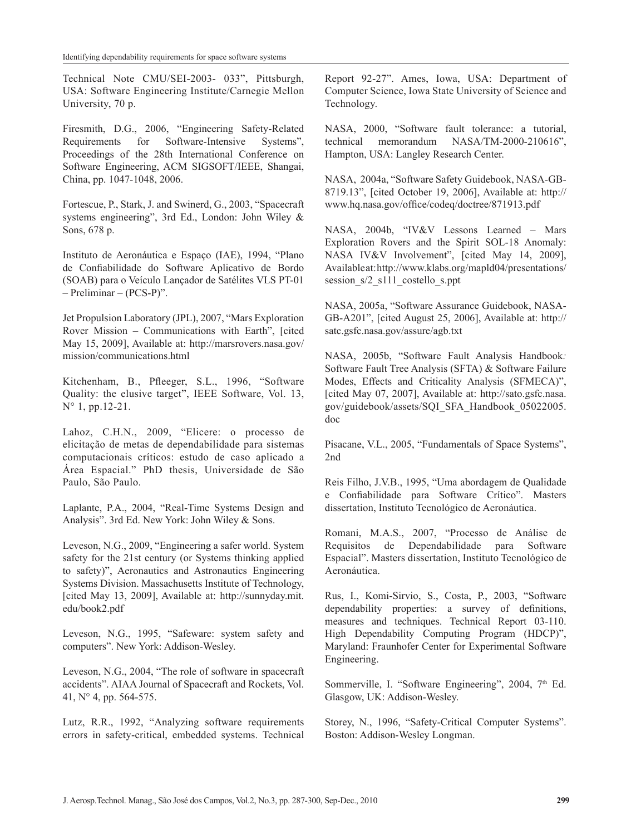Technical Note CMU/SEI-2003- 033", Pittsburgh, USA: Software Engineering Institute/Carnegie Mellon University, 70 p.

Firesmith, D.G., 2006, "Engineering Safety-Related Requirements for Software-Intensive Systems", Proceedings of the 28th International Conference on Software Engineering, ACM SIGSOFT/IEEE, Shangai, China, pp. 1047-1048, 2006.

Fortescue, P., Stark, J. and Swinerd, G., 2003, "Spacecraft systems engineering", 3rd Ed., London: John Wiley & Sons, 678 p.

Instituto de Aeronáutica e Espaço (IAE), 1994, "Plano de Confiabilidade do Software Aplicativo de Bordo (SOAB) para o Veículo Lançador de Satélites VLS PT-01 – Preliminar – (PCS-P)".

Jet Propulsion Laboratory (JPL), 2007, "Mars Exploration Rover Mission – Communications with Earth", [cited May 15, 2009], Available at: http://marsrovers.nasa.gov/ mission/communications.html

Kitchenham, B., Pfleeger, S.L., 1996, "Software Quality: the elusive target", IEEE Software, Vol. 13, N° 1, pp.12-21.

Lahoz, C.H.N., 2009, "Elicere: o processo de elicitação de metas de dependabilidade para sistemas computacionais críticos: estudo de caso aplicado a Área Espacial." PhD thesis, Universidade de São Paulo, São Paulo.

Laplante, P.A., 2004, "Real-Time Systems Design and Analysis". 3rd Ed. New York: John Wiley & Sons.

Leveson, N.G., 2009, "Engineering a safer world. System safety for the 21st century (or Systems thinking applied to safety)", Aeronautics and Astronautics Engineering Systems Division. Massachusetts Institute of Technology, [cited May 13, 2009], Available at: http://sunnyday.mit. edu/book2.pdf

Leveson, N.G., 1995, "Safeware: system safety and computers". New York: Addison-Wesley.

Leveson, N.G., 2004, "The role of software in spacecraft accidents". AIAA Journal of Spacecraft and Rockets, Vol. 41, N° 4, pp. 564-575.

Lutz, R.R., 1992, "Analyzing software requirements errors in safety-critical, embedded systems. Technical Report 92-27". Ames, Iowa, USA: Department of Computer Science, Iowa State University of Science and Technology.

NASA, 2000, "Software fault tolerance: a tutorial, technical memorandum NASA/TM-2000-210616", Hampton, USA: Langley Research Center.

NASA, 2004a, "Software Safety Guidebook, NASA-GB-8719.13", [cited October 19, 2006], Available at: http:// www.hq.nasa.gov/office/codeq/doctree/871913.pdf

NASA, 2004b, "IV&V Lessons Learned – Mars Exploration Rovers and the Spirit SOL-18 Anomaly: NASA IV&V Involvement", [cited May 14, 2009], Available at: http://www.klabs.org/mapld04/presentations/ session  $s/2$  s111 costello s.ppt

NASA, 2005a, "Software Assurance Guidebook, NASA-GB-A201", [cited August 25, 2006], Available at: http:// satc.gsfc.nasa.gov/assure/agb.txt

NASA, 2005b, "Software Fault Analysis Handbook*:*  Software Fault Tree Analysis (SFTA) & Software Failure Modes, Effects and Criticality Analysis (SFMECA)", [cited May 07, 2007], Available at: http://sato.gsfc.nasa. gov/guidebook/assets/SQI\_SFA\_Handbook\_05022005. doc

Pisacane, V.L., 2005, "Fundamentals of Space Systems", 2nd

Reis Filho, J.V.B., 1995, "Uma abordagem de Qualidade e Confiabilidade para Software Crítico". Masters dissertation, Instituto Tecnológico de Aeronáutica.

Romani, M.A.S., 2007, "Processo de Análise de Requisitos de Dependabilidade para Software Espacial". Masters dissertation, Instituto Tecnológico de Aeronáutica.

Rus, I., Komi-Sirvio, S., Costa, P., 2003, "Software dependability properties: a survey of definitions, measures and techniques. Technical Report 03-110. High Dependability Computing Program (HDCP)", Maryland: Fraunhofer Center for Experimental Software Engineering.

Sommerville, I. "Software Engineering", 2004, 7<sup>th</sup> Ed. Glasgow, UK: Addison-Wesley.

Storey, N., 1996, "Safety-Critical Computer Systems". Boston: Addison-Wesley Longman.